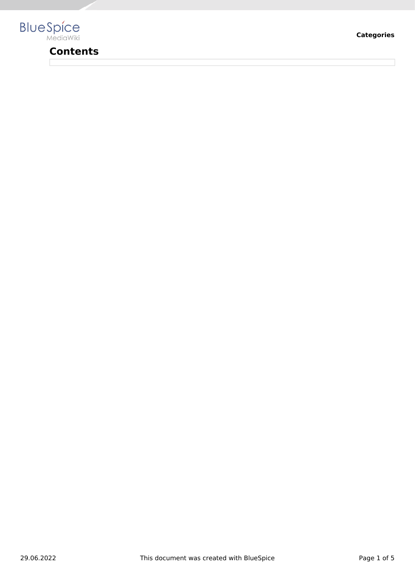

# **Contents**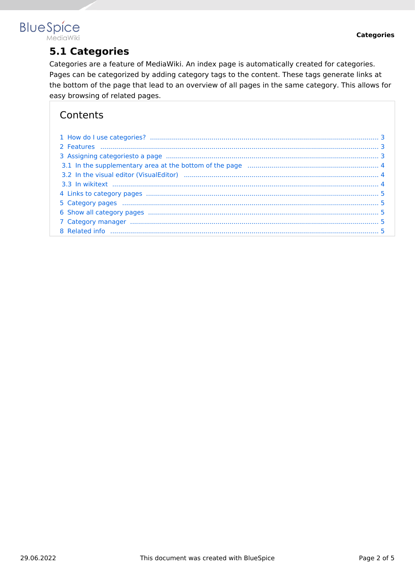## **BlueSpice** MediaWiki

**5.1 Categories**

Categories are a feature of MediaWiki. An index page is automatically created for categories. Pages can be categorized by adding category tags to the content. These tags generate links at the bottom of the page that lead to an overview of all pages in the same category. This allows for easy browsing of related pages.

# **Contents**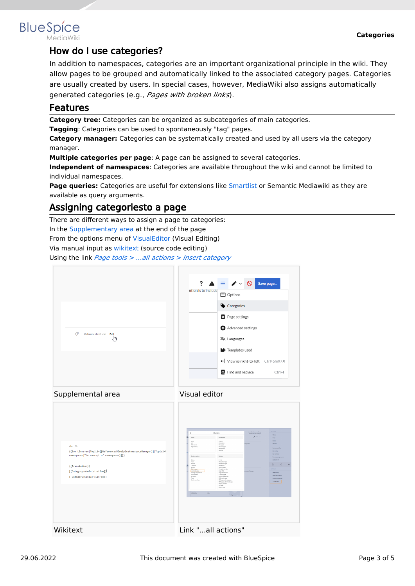

# <span id="page-2-0"></span>**BlueSpice**

## How do I use categories?

In addition to namespaces, categories are an important organizational principle in the wiki. They allow pages to be grouped and automatically linked to the associated category pages. Categories are usually created by users. In special cases, however, MediaWiki also assigns automatically generated categories (e.g., *Pages with broken links*).

#### <span id="page-2-1"></span>Features

**Category tree:** Categories can be organized as subcategories of main categories.

**Tagging**: Categories can be used to spontaneously "tag" pages.

**Category manager:** Categories can be systematically created and used by all users via the category manager.

**Multiple categories per page**: A page can be assigned to several categories.

**Independent of namespaces**: Categories are available throughout the wiki and cannot be limited to individual namespaces.

**Page queries:** Categories are useful for extensions like [Smartlist](https://en.wiki.bluespice.com/wiki/Manual:Extension/BlueSpiceSmartList) or Semantic Mediawiki as they are available as query arguments.

## <span id="page-2-2"></span>Assigning categoriesto a page

There are different ways to assign a page to categories:

In the [Supplementary area](https://en.wiki.bluespice.com/wiki/Manual:Extension/BlueSpiceDiscovery#Supplementary_area) at the end of the page

From the options menu of [VisualEditor](https://en.wiki.bluespice.com/wiki/Manual:Extension/VisualEditor) (Visual Editing)

Via manual input as [wikitext](https://en.wiki.bluespice.com/wiki/Manual:Wikitext) (source code editing)

Using the link *[Page tools > ...all actions > Insert category](https://en.wiki.bluespice.com/wiki/Manual:Extension/BlueSpiceDiscovery#Page_tools)*





| $\text{ch}$ /><br>{{Box Links-en Topic1=[[Reference:BlueSpiceNamespaceManager]] Topic2=h<br>namespaces The concept of namespaces [1]}}<br>{{Translation}}<br>[[Category:Administration]]<br>[[Category:Single-sign-on]] | $\times$<br>All actions<br>Namespaces<br>Views<br>View<br>Matual<br>Edit<br>Discussion<br>Editsource<br>Newpage<br>Page Matory<br>Newsubower<br>Newsection<br>Newfile<br>Toylor.<br>Content actions<br>EMail<br>Delete<br>Mon<br>Wattinishere<br>Protect<br><b>Related changes</b><br>Unwatch<br>Upload file<br>Refresh<br>Special coates<br>Add to book<br>Printsblevenice<br>Intert category<br>Copy LR1<br>Page information<br>Set page applicaments<br>Set reminder<br>Cost this page<br>Set expiry<br>Drawne properties<br>Copy<br>PDF single page<br>Stert a workflow<br>PDF poet with subpages<br>PDF poet with linked pages<br>Display readers<br>QR code<br>Export book<br><b>International</b><br>Sex.<br><b>Nonner</b> (N)<br><b>Sharp</b><br>$\mathbb{R}$ | ACTIONS:<br>List edited and month and<br>by Margit Link Bodrigue<br>Move<br>$\mathcal{L} = 0$<br>Capy<br>Driver<br><b>Between</b><br>negaces.<br><b>Start a worldfield</b><br>Set palicy<br>Set reninder<br>Set page assignments<br>Add to book<br>$\Box$<br>æ<br><b>OTTAGE</b><br>инергеймарк<br>Page Nistary<br>Page Information<br><b>Browse properties</b><br>LaTactions |
|-------------------------------------------------------------------------------------------------------------------------------------------------------------------------------------------------------------------------|-----------------------------------------------------------------------------------------------------------------------------------------------------------------------------------------------------------------------------------------------------------------------------------------------------------------------------------------------------------------------------------------------------------------------------------------------------------------------------------------------------------------------------------------------------------------------------------------------------------------------------------------------------------------------------------------------------------------------------------------------------------------------|------------------------------------------------------------------------------------------------------------------------------------------------------------------------------------------------------------------------------------------------------------------------------------------------------------------------------------------------------------------------------|
| Wikitext                                                                                                                                                                                                                | Link "all actions"                                                                                                                                                                                                                                                                                                                                                                                                                                                                                                                                                                                                                                                                                                                                                    |                                                                                                                                                                                                                                                                                                                                                                              |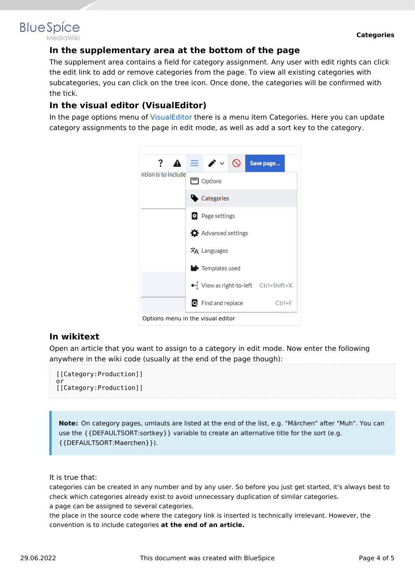# <span id="page-3-0"></span>**BlueSpice**

#### **In the supplementary area at the bottom of the page**

The supplement area contains a field for category assignment. Any user with edit rights can click the edit link to add or remove categories from the page. To view all existing categories with subcategories, you can click on the tree icon. Once done, the categories will be confirmed with the tick.

### <span id="page-3-1"></span>**In the visual editor (VisualEditor)**

In the page options menu of [VisualEditor](https://en.wiki.bluespice.com/wiki/Manual:Extension/VisualEditor) there is a menu item Categories. Here you can update category assignments to the page in edit mode, as well as add a sort key to the category.



#### <span id="page-3-2"></span>**In wikitext**

Open an article that you want to assign to a category in edit mode. Now enter the following anywhere in the wiki code (usually at the end of the page though):

```
[[Category:Production]]
or
[[Category:Production]]
```
**Note:** On category pages, umlauts are listed at the end of the list, e.g. "Märchen" after "Muh". You can use the {{DEFAULTSORT:sortkey}} variable to create an alternative title for the sort (e.g. {{DEFAULTSORT:Maerchen}}).

It is true that:

categories can be created in any number and by any user. So before you just get started, it's always best to check which categories already exist to avoid unnecessary duplication of similar categories. a page can be assigned to several categories.

the place in the source code where the category link is inserted is technically irrelevant. However, the convention is to include categories **at the end of an article.**